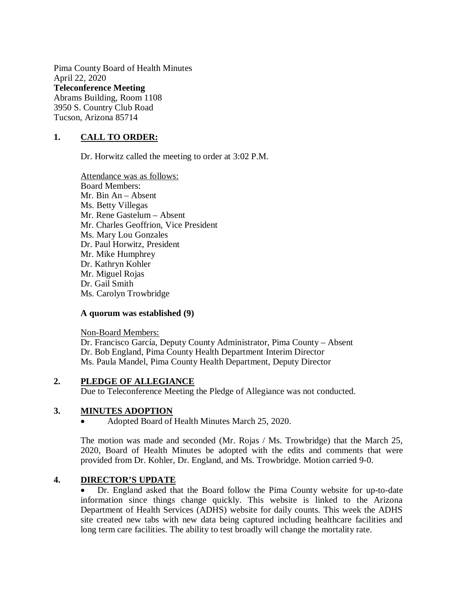Pima County Board of Health Minutes April 22, 2020 **Teleconference Meeting** Abrams Building, Room 1108 3950 S. Country Club Road Tucson, Arizona 85714

# **1. CALL TO ORDER:**

Dr. Horwitz called the meeting to order at 3:02 P.M.

Attendance was as follows: Board Members: Mr. Bin An – Absent Ms. Betty Villegas Mr. Rene Gastelum – Absent Mr. Charles Geoffrion, Vice President Ms. Mary Lou Gonzales Dr. Paul Horwitz, President Mr. Mike Humphrey Dr. Kathryn Kohler Mr. Miguel Rojas Dr. Gail Smith Ms. Carolyn Trowbridge

### **A quorum was established (9)**

Non-Board Members: Dr. Francisco García, Deputy County Administrator, Pima County – Absent Dr. Bob England, Pima County Health Department Interim Director Ms. Paula Mandel, Pima County Health Department, Deputy Director

### **2. PLEDGE OF ALLEGIANCE**

Due to Teleconference Meeting the Pledge of Allegiance was not conducted.

### **3. MINUTES ADOPTION**

Adopted Board of Health Minutes March 25, 2020.

The motion was made and seconded (Mr. Rojas / Ms. Trowbridge) that the March 25, 2020, Board of Health Minutes be adopted with the edits and comments that were provided from Dr. Kohler, Dr. England, and Ms. Trowbridge. Motion carried 9-0.

### **4. DIRECTOR'S UPDATE**

 Dr. England asked that the Board follow the Pima County website for up-to-date information since things change quickly. This website is linked to the Arizona Department of Health Services (ADHS) website for daily counts. This week the ADHS site created new tabs with new data being captured including healthcare facilities and long term care facilities. The ability to test broadly will change the mortality rate.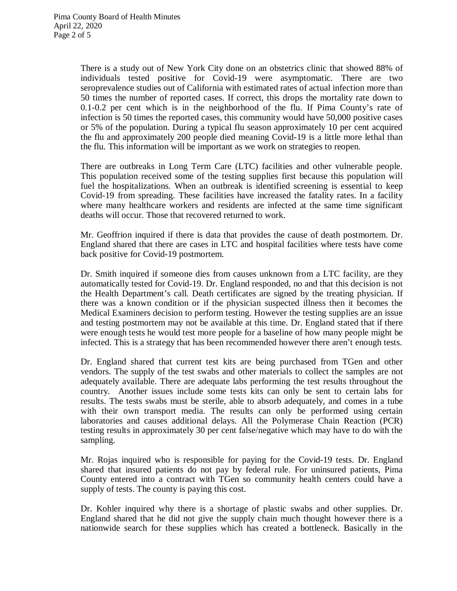There is a study out of New York City done on an obstetrics clinic that showed 88% of individuals tested positive for Covid-19 were asymptomatic. There are two seroprevalence studies out of California with estimated rates of actual infection more than 50 times the number of reported cases. If correct, this drops the mortality rate down to 0.1-0.2 per cent which is in the neighborhood of the flu. If Pima County's rate of infection is 50 times the reported cases, this community would have 50,000 positive cases or 5% of the population. During a typical flu season approximately 10 per cent acquired the flu and approximately 200 people died meaning Covid-19 is a little more lethal than the flu. This information will be important as we work on strategies to reopen.

There are outbreaks in Long Term Care (LTC) facilities and other vulnerable people. This population received some of the testing supplies first because this population will fuel the hospitalizations. When an outbreak is identified screening is essential to keep Covid-19 from spreading. These facilities have increased the fatality rates. In a facility where many healthcare workers and residents are infected at the same time significant deaths will occur. Those that recovered returned to work.

Mr. Geoffrion inquired if there is data that provides the cause of death postmortem. Dr. England shared that there are cases in LTC and hospital facilities where tests have come back positive for Covid-19 postmortem.

Dr. Smith inquired if someone dies from causes unknown from a LTC facility, are they automatically tested for Covid-19. Dr. England responded, no and that this decision is not the Health Department's call. Death certificates are signed by the treating physician. If there was a known condition or if the physician suspected illness then it becomes the Medical Examiners decision to perform testing. However the testing supplies are an issue and testing postmortem may not be available at this time. Dr. England stated that if there were enough tests he would test more people for a baseline of how many people might be infected. This is a strategy that has been recommended however there aren't enough tests.

Dr. England shared that current test kits are being purchased from TGen and other vendors. The supply of the test swabs and other materials to collect the samples are not adequately available. There are adequate labs performing the test results throughout the country. Another issues include some tests kits can only be sent to certain labs for results. The tests swabs must be sterile, able to absorb adequately, and comes in a tube with their own transport media. The results can only be performed using certain laboratories and causes additional delays. All the Polymerase Chain Reaction (PCR) testing results in approximately 30 per cent false/negative which may have to do with the sampling.

Mr. Rojas inquired who is responsible for paying for the Covid-19 tests. Dr. England shared that insured patients do not pay by federal rule. For uninsured patients, Pima County entered into a contract with TGen so community health centers could have a supply of tests. The county is paying this cost.

Dr. Kohler inquired why there is a shortage of plastic swabs and other supplies. Dr. England shared that he did not give the supply chain much thought however there is a nationwide search for these supplies which has created a bottleneck. Basically in the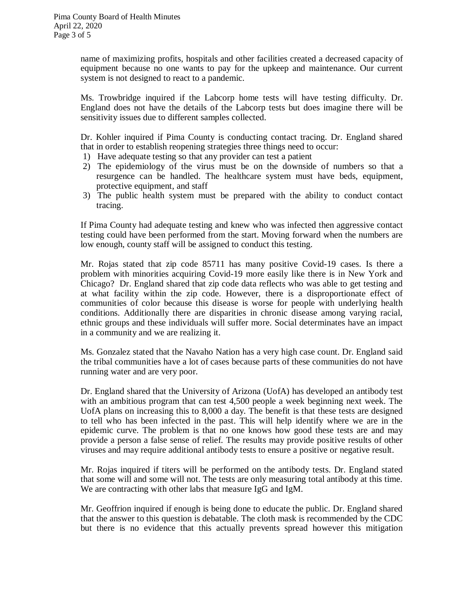name of maximizing profits, hospitals and other facilities created a decreased capacity of equipment because no one wants to pay for the upkeep and maintenance. Our current system is not designed to react to a pandemic.

Ms. Trowbridge inquired if the Labcorp home tests will have testing difficulty. Dr. England does not have the details of the Labcorp tests but does imagine there will be sensitivity issues due to different samples collected.

Dr. Kohler inquired if Pima County is conducting contact tracing. Dr. England shared that in order to establish reopening strategies three things need to occur:

- 1) Have adequate testing so that any provider can test a patient
- 2) The epidemiology of the virus must be on the downside of numbers so that a resurgence can be handled. The healthcare system must have beds, equipment, protective equipment, and staff
- 3) The public health system must be prepared with the ability to conduct contact tracing.

If Pima County had adequate testing and knew who was infected then aggressive contact testing could have been performed from the start. Moving forward when the numbers are low enough, county staff will be assigned to conduct this testing.

Mr. Rojas stated that zip code 85711 has many positive Covid-19 cases. Is there a problem with minorities acquiring Covid-19 more easily like there is in New York and Chicago? Dr. England shared that zip code data reflects who was able to get testing and at what facility within the zip code. However, there is a disproportionate effect of communities of color because this disease is worse for people with underlying health conditions. Additionally there are disparities in chronic disease among varying racial, ethnic groups and these individuals will suffer more. Social determinates have an impact in a community and we are realizing it.

Ms. Gonzalez stated that the Navaho Nation has a very high case count. Dr. England said the tribal communities have a lot of cases because parts of these communities do not have running water and are very poor.

Dr. England shared that the University of Arizona (UofA) has developed an antibody test with an ambitious program that can test 4,500 people a week beginning next week. The UofA plans on increasing this to 8,000 a day. The benefit is that these tests are designed to tell who has been infected in the past. This will help identify where we are in the epidemic curve. The problem is that no one knows how good these tests are and may provide a person a false sense of relief. The results may provide positive results of other viruses and may require additional antibody tests to ensure a positive or negative result.

Mr. Rojas inquired if titers will be performed on the antibody tests. Dr. England stated that some will and some will not. The tests are only measuring total antibody at this time. We are contracting with other labs that measure IgG and IgM.

Mr. Geoffrion inquired if enough is being done to educate the public. Dr. England shared that the answer to this question is debatable. The cloth mask is recommended by the CDC but there is no evidence that this actually prevents spread however this mitigation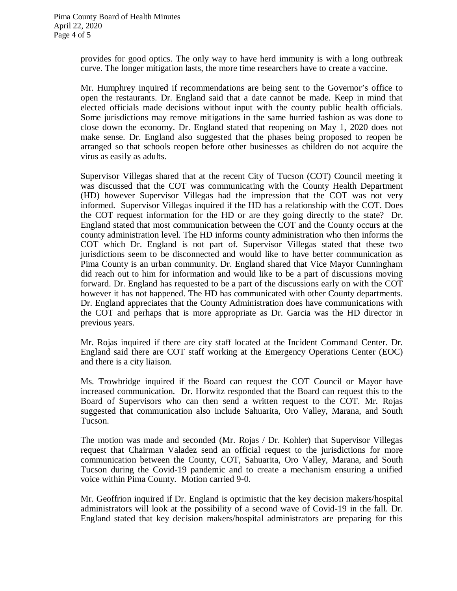provides for good optics. The only way to have herd immunity is with a long outbreak curve. The longer mitigation lasts, the more time researchers have to create a vaccine.

Mr. Humphrey inquired if recommendations are being sent to the Governor's office to open the restaurants. Dr. England said that a date cannot be made. Keep in mind that elected officials made decisions without input with the county public health officials. Some jurisdictions may remove mitigations in the same hurried fashion as was done to close down the economy. Dr. England stated that reopening on May 1, 2020 does not make sense. Dr. England also suggested that the phases being proposed to reopen be arranged so that schools reopen before other businesses as children do not acquire the virus as easily as adults.

Supervisor Villegas shared that at the recent City of Tucson (COT) Council meeting it was discussed that the COT was communicating with the County Health Department (HD) however Supervisor Villegas had the impression that the COT was not very informed. Supervisor Villegas inquired if the HD has a relationship with the COT. Does the COT request information for the HD or are they going directly to the state? Dr. England stated that most communication between the COT and the County occurs at the county administration level. The HD informs county administration who then informs the COT which Dr. England is not part of. Supervisor Villegas stated that these two jurisdictions seem to be disconnected and would like to have better communication as Pima County is an urban community. Dr. England shared that Vice Mayor Cunningham did reach out to him for information and would like to be a part of discussions moving forward. Dr. England has requested to be a part of the discussions early on with the COT however it has not happened. The HD has communicated with other County departments. Dr. England appreciates that the County Administration does have communications with the COT and perhaps that is more appropriate as Dr. Garcia was the HD director in previous years.

Mr. Rojas inquired if there are city staff located at the Incident Command Center. Dr. England said there are COT staff working at the Emergency Operations Center (EOC) and there is a city liaison.

Ms. Trowbridge inquired if the Board can request the COT Council or Mayor have increased communication. Dr. Horwitz responded that the Board can request this to the Board of Supervisors who can then send a written request to the COT. Mr. Rojas suggested that communication also include Sahuarita, Oro Valley, Marana, and South Tucson.

The motion was made and seconded (Mr. Rojas / Dr. Kohler) that Supervisor Villegas request that Chairman Valadez send an official request to the jurisdictions for more communication between the County, COT, Sahuarita, Oro Valley, Marana, and South Tucson during the Covid-19 pandemic and to create a mechanism ensuring a unified voice within Pima County. Motion carried 9-0.

Mr. Geoffrion inquired if Dr. England is optimistic that the key decision makers/hospital administrators will look at the possibility of a second wave of Covid-19 in the fall. Dr. England stated that key decision makers/hospital administrators are preparing for this